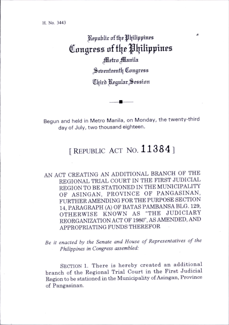Republic of the Philippines Congress of the Philippines Metro Manila Seventeenth Congress Chird Regular Session

Begun and held in Metro Manila, on Monday, the twenty-third day of July, two thousand eighteen.

## [REPUBLIC ACT NO. 11384]

AN ACT CREATING AN ADDITIONAL BRANCH OF THE REGIONAL TRIAL COURT IN THE FIRST JUDICIAL REGION TO BE STATIONED IN THE MUNICIPALITY OF ASINGAN, PROVINCE OF PANGASINAN, FURTHER AMENDING FOR THE PURPOSE SECTION 14, PARAGRAPH (A) OF BATAS PAMBANSA BLG. 129, OTHERWISE KNOWN AS "THE JUDICIARY REORGANIZATION ACT OF 1980", AS AMENDED, AND APPROPRIATING FUNDS THEREFOR

Be it enacted by the Senate and House of Representatives of the Philippines in Congress assembled:

SECTION 1. There is hereby created an additional branch of the Regional Trial Court in the First Judicial Region to be stationed in the Municipality of Asingan, Province of Pangasinan.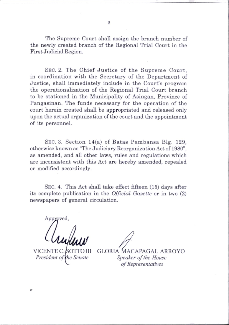The Supreme Court shall assign the branch number of the newly created branch of the Regional Trial Court in the First Judicial Region.

SEC. 2. The Chief Justice of the Supreme Court, in coordination with the Secretary of the Department of Justice, shall immediately include in the Court's program the operationalization of the Regional Trial Court branch to be stationed in the Municipality of Asingan, Province of Pangasinan. The funds necessary for the operation of the court herein created shall be appropriated and released only upon the actual organization of the court and the appointment of its personnel.

SEC. 3. Section  $14(a)$  of Batas Pambansa Blg. 129, otherwise known as "The Judiciary Reorganization Act of 1980", as amended, and all other laws, rules and regulations which are inconsistent with this Act are hereby amended, repealed or modified accordingly.

Sec. 4. This Act shall take effect fifteen (15) days after its complete publication in the *Official Gazette* or in two (2) newspapers of general circulation.

Approved,

VICENTE C President of the Senate

GLORIA MACAPAGAL ARROYO Speaker of the House of Representatives